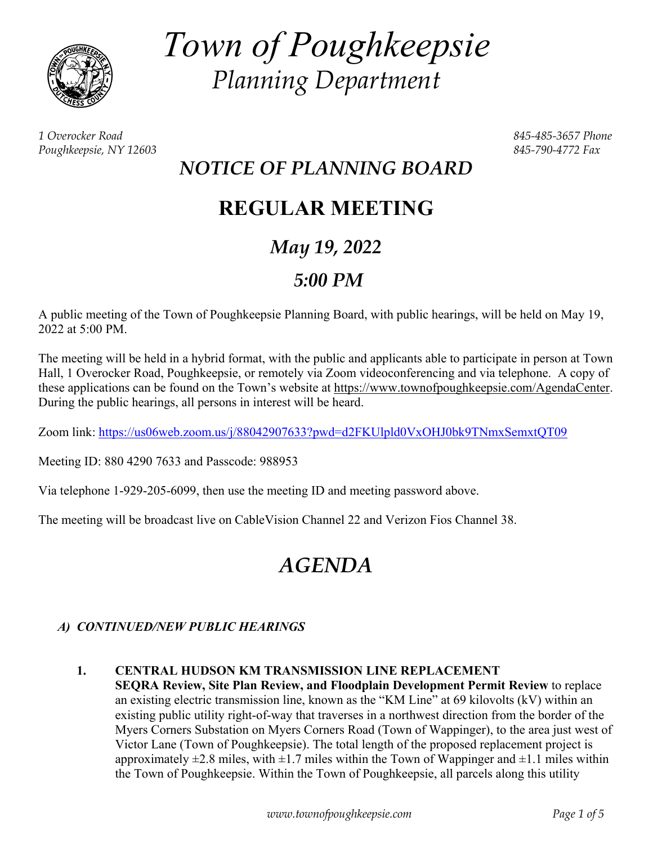

*Town of Poughkeepsie Planning Department* 

*1 Overocker Road 845-485-3657 Phone Poughkeepsie, NY 12603 845-790-4772 Fax* 

# *NOTICE OF PLANNING BOARD*

# **REGULAR MEETING**

# *May 19, 2022*

# *5:00 PM*

A public meeting of the Town of Poughkeepsie Planning Board, with public hearings, will be held on May 19, 2022 at 5:00 PM.

The meeting will be held in a hybrid format, with the public and applicants able to participate in person at Town Hall, 1 Overocker Road, Poughkeepsie, or remotely via Zoom videoconferencing and via telephone. A copy of these applications can be found on the Town's website at https://www.townofpoughkeepsie.com/AgendaCenter. During the public hearings, all persons in interest will be heard.

Zoom link: https://us06web.zoom.us/j/88042907633?pwd=d2FKUlpld0VxOHJ0bk9TNmxSemxtQT09

Meeting ID: 880 4290 7633 and Passcode: 988953

Via telephone 1-929-205-6099, then use the meeting ID and meeting password above.

The meeting will be broadcast live on CableVision Channel 22 and Verizon Fios Channel 38.

# *AGENDA*

# *A) CONTINUED/NEW PUBLIC HEARINGS*

# **1. CENTRAL HUDSON KM TRANSMISSION LINE REPLACEMENT**

**SEQRA Review, Site Plan Review, and Floodplain Development Permit Review** to replace an existing electric transmission line, known as the "KM Line" at 69 kilovolts (kV) within an existing public utility right-of-way that traverses in a northwest direction from the border of the Myers Corners Substation on Myers Corners Road (Town of Wappinger), to the area just west of Victor Lane (Town of Poughkeepsie). The total length of the proposed replacement project is approximately  $\pm 2.8$  miles, with  $\pm 1.7$  miles within the Town of Wappinger and  $\pm 1.1$  miles within the Town of Poughkeepsie. Within the Town of Poughkeepsie, all parcels along this utility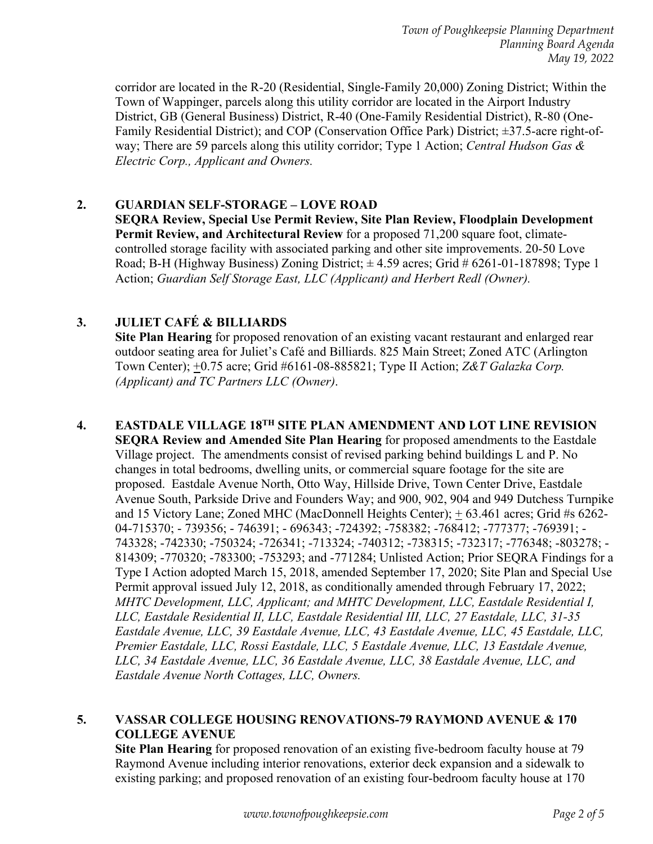corridor are located in the R-20 (Residential, Single-Family 20,000) Zoning District; Within the Town of Wappinger, parcels along this utility corridor are located in the Airport Industry District, GB (General Business) District, R-40 (One-Family Residential District), R-80 (One-Family Residential District); and COP (Conservation Office Park) District; ±37.5-acre right-ofway; There are 59 parcels along this utility corridor; Type 1 Action; *Central Hudson Gas & Electric Corp., Applicant and Owners.* 

# **2. GUARDIAN SELF-STORAGE – LOVE ROAD**

**SEQRA Review, Special Use Permit Review, Site Plan Review, Floodplain Development Permit Review, and Architectural Review** for a proposed 71,200 square foot, climatecontrolled storage facility with associated parking and other site improvements. 20-50 Love Road; B-H (Highway Business) Zoning District;  $\pm$  4.59 acres; Grid # 6261-01-187898; Type 1 Action; *Guardian Self Storage East, LLC (Applicant) and Herbert Redl (Owner).* 

## **3. JULIET CAFÉ & BILLIARDS**

**Site Plan Hearing** for proposed renovation of an existing vacant restaurant and enlarged rear outdoor seating area for Juliet's Café and Billiards. 825 Main Street; Zoned ATC (Arlington Town Center); +0.75 acre; Grid #6161-08-885821; Type II Action; *Z&T Galazka Corp. (Applicant) and TC Partners LLC (Owner)*.

 **4. EASTDALE VILLAGE 18TH SITE PLAN AMENDMENT AND LOT LINE REVISION SEQRA Review and Amended Site Plan Hearing** for proposed amendments to the Eastdale Village project. The amendments consist of revised parking behind buildings L and P. No changes in total bedrooms, dwelling units, or commercial square footage for the site are proposed. Eastdale Avenue North, Otto Way, Hillside Drive, Town Center Drive, Eastdale Avenue South, Parkside Drive and Founders Way; and 900, 902, 904 and 949 Dutchess Turnpike and 15 Victory Lane; Zoned MHC (MacDonnell Heights Center); + 63.461 acres; Grid #s 6262- 04-715370; - 739356; - 746391; - 696343; -724392; -758382; -768412; -777377; -769391; - 743328; -742330; -750324; -726341; -713324; -740312; -738315; -732317; -776348; -803278; - 814309; -770320; -783300; -753293; and -771284; Unlisted Action; Prior SEQRA Findings for a Type I Action adopted March 15, 2018, amended September 17, 2020; Site Plan and Special Use Permit approval issued July 12, 2018, as conditionally amended through February 17, 2022; *MHTC Development, LLC, Applicant; and MHTC Development, LLC, Eastdale Residential I, LLC, Eastdale Residential II, LLC, Eastdale Residential III, LLC, 27 Eastdale, LLC, 31-35 Eastdale Avenue, LLC, 39 Eastdale Avenue, LLC, 43 Eastdale Avenue, LLC, 45 Eastdale, LLC, Premier Eastdale, LLC, Rossi Eastdale, LLC, 5 Eastdale Avenue, LLC, 13 Eastdale Avenue, LLC, 34 Eastdale Avenue, LLC, 36 Eastdale Avenue, LLC, 38 Eastdale Avenue, LLC, and Eastdale Avenue North Cottages, LLC, Owners.* 

#### **5. VASSAR COLLEGE HOUSING RENOVATIONS-79 RAYMOND AVENUE & 170 COLLEGE AVENUE**

**Site Plan Hearing** for proposed renovation of an existing five-bedroom faculty house at 79 Raymond Avenue including interior renovations, exterior deck expansion and a sidewalk to existing parking; and proposed renovation of an existing four-bedroom faculty house at 170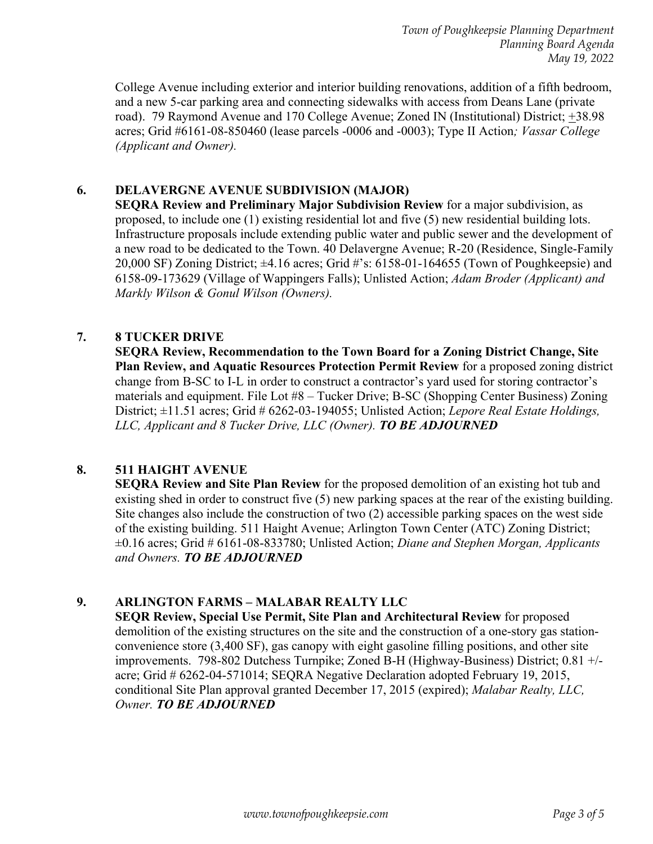*Town of Poughkeepsie Planning Department Planning Board Agenda May 19, 2022* 

College Avenue including exterior and interior building renovations, addition of a fifth bedroom, and a new 5-car parking area and connecting sidewalks with access from Deans Lane (private road). 79 Raymond Avenue and 170 College Avenue; Zoned IN (Institutional) District;  $\pm$ 38.98 acres; Grid #6161-08-850460 (lease parcels -0006 and -0003); Type II Action*; Vassar College (Applicant and Owner).*

## **6. DELAVERGNE AVENUE SUBDIVISION (MAJOR)**

**SEQRA Review and Preliminary Major Subdivision Review** for a major subdivision, as proposed, to include one (1) existing residential lot and five (5) new residential building lots. Infrastructure proposals include extending public water and public sewer and the development of a new road to be dedicated to the Town. 40 Delavergne Avenue; R-20 (Residence, Single-Family 20,000 SF) Zoning District; ±4.16 acres; Grid #'s: 6158-01-164655 (Town of Poughkeepsie) and 6158-09-173629 (Village of Wappingers Falls); Unlisted Action; *Adam Broder (Applicant) and Markly Wilson & Gonul Wilson (Owners).* 

### **7. 8 TUCKER DRIVE**

**SEQRA Review, Recommendation to the Town Board for a Zoning District Change, Site Plan Review, and Aquatic Resources Protection Permit Review** for a proposed zoning district change from B-SC to I-L in order to construct a contractor's yard used for storing contractor's materials and equipment. File Lot #8 – Tucker Drive; B-SC (Shopping Center Business) Zoning District; ±11.51 acres; Grid # 6262-03-194055; Unlisted Action; *Lepore Real Estate Holdings, LLC, Applicant and 8 Tucker Drive, LLC (Owner). TO BE ADJOURNED* 

## **8. 511 HAIGHT AVENUE**

**SEQRA Review and Site Plan Review** for the proposed demolition of an existing hot tub and existing shed in order to construct five (5) new parking spaces at the rear of the existing building. Site changes also include the construction of two (2) accessible parking spaces on the west side of the existing building. 511 Haight Avenue; Arlington Town Center (ATC) Zoning District; ±0.16 acres; Grid # 6161-08-833780; Unlisted Action; *Diane and Stephen Morgan, Applicants and Owners. TO BE ADJOURNED*

#### **9. ARLINGTON FARMS – MALABAR REALTY LLC**

**SEQR Review, Special Use Permit, Site Plan and Architectural Review** for proposed demolition of the existing structures on the site and the construction of a one-story gas stationconvenience store (3,400 SF), gas canopy with eight gasoline filling positions, and other site improvements. 798-802 Dutchess Turnpike; Zoned B-H (Highway-Business) District; 0.81 +/ acre; Grid # 6262-04-571014; SEQRA Negative Declaration adopted February 19, 2015, conditional Site Plan approval granted December 17, 2015 (expired); *Malabar Realty, LLC, Owner. TO BE ADJOURNED*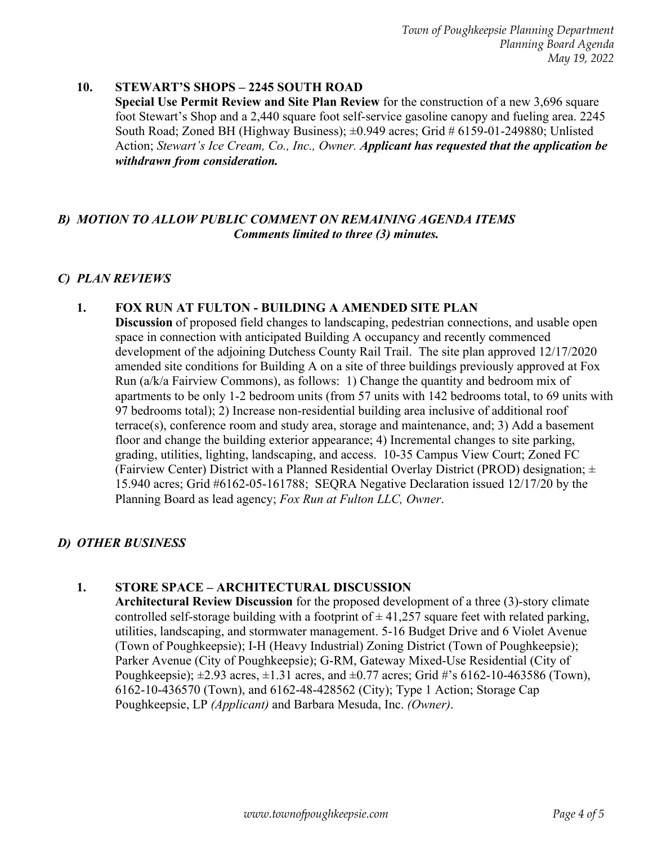*Town of Poughkeepsie Planning Department Planning Board Agenda May 19, 2022* 

#### **10. STEWART'S SHOPS – 2245 SOUTH ROAD**

**Special Use Permit Review and Site Plan Review** for the construction of a new 3,696 square foot Stewart's Shop and a 2,440 square foot self-service gasoline canopy and fueling area. 2245 South Road; Zoned BH (Highway Business); ±0.949 acres; Grid # 6159-01-249880; Unlisted Action; *Stewart's Ice Cream, Co., Inc., Owner. Applicant has requested that the application be withdrawn from consideration.* 

#### *B) MOTION TO ALLOW PUBLIC COMMENT ON REMAINING AGENDA ITEMS Comments limited to three (3) minutes.*

#### *C) PLAN REVIEWS*

#### **1. FOX RUN AT FULTON - BUILDING A AMENDED SITE PLAN**

**Discussion** of proposed field changes to landscaping, pedestrian connections, and usable open space in connection with anticipated Building A occupancy and recently commenced development of the adjoining Dutchess County Rail Trail. The site plan approved 12/17/2020 amended site conditions for Building A on a site of three buildings previously approved at Fox Run (a/k/a Fairview Commons), as follows: 1) Change the quantity and bedroom mix of apartments to be only 1-2 bedroom units (from 57 units with 142 bedrooms total, to 69 units with 97 bedrooms total); 2) Increase non-residential building area inclusive of additional roof terrace(s), conference room and study area, storage and maintenance, and; 3) Add a basement floor and change the building exterior appearance; 4) Incremental changes to site parking, grading, utilities, lighting, landscaping, and access. 10-35 Campus View Court; Zoned FC (Fairview Center) District with a Planned Residential Overlay District (PROD) designation;  $\pm$ 15.940 acres; Grid #6162-05-161788; SEQRA Negative Declaration issued 12/17/20 by the Planning Board as lead agency; *Fox Run at Fulton LLC, Owner*.

#### *D) OTHER BUSINESS*

#### **1. STORE SPACE – ARCHITECTURAL DISCUSSION**

**Architectural Review Discussion** for the proposed development of a three (3)-story climate controlled self-storage building with a footprint of  $\pm$  41,257 square feet with related parking, utilities, landscaping, and stormwater management. 5-16 Budget Drive and 6 Violet Avenue (Town of Poughkeepsie); I-H (Heavy Industrial) Zoning District (Town of Poughkeepsie); Parker Avenue (City of Poughkeepsie); G-RM, Gateway Mixed-Use Residential (City of Poughkeepsie);  $\pm 2.93$  acres,  $\pm 1.31$  acres, and  $\pm 0.77$  acres; Grid #'s 6162-10-463586 (Town), 6162-10-436570 (Town), and 6162-48-428562 (City); Type 1 Action; Storage Cap Poughkeepsie, LP *(Applicant)* and Barbara Mesuda, Inc. *(Owner)*.